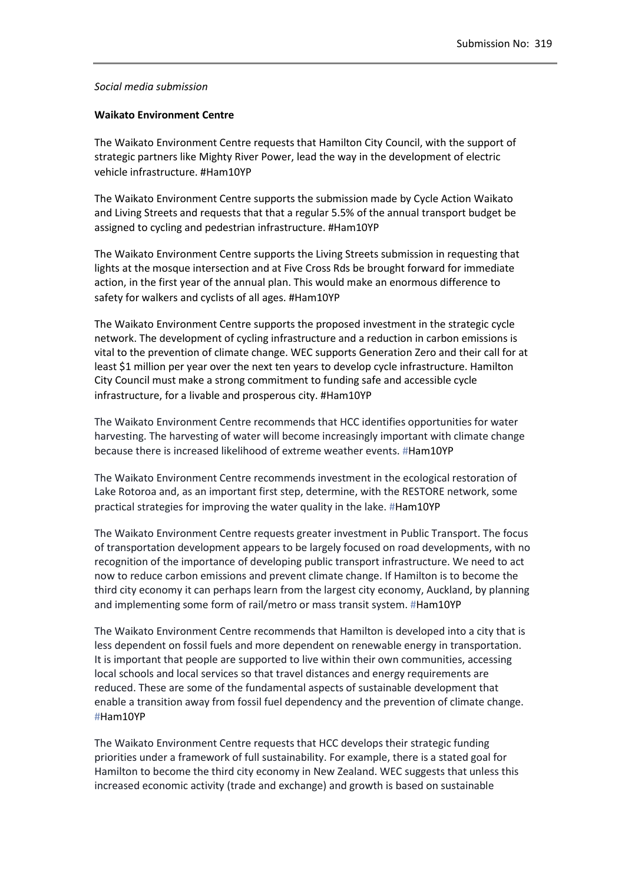## *Social media submission*

## **Waikato Environment Centre**

The Waikato Environment Centre requests that Hamilton City Council, with the support of strategic partners like Mighty River Power, lead the way in the development of electric vehicle infrastructure. Ham10YP

The Waikato Environment Centre supports the submission made by Cycle Action Waikato and Living Streets and requests that that a regular 5.5% of the annual transport budget be assigned to cycling and pedestrian infrastructure. [Ham10YP](https://www.facebook.com/hashtag/ham10yp?source=feed_text&story_id=825702360817217) 

The Waikato Environment Centre supports the Living Streets submission in requesting that lights at the mosque intersection and at Five Cross Rds be brought forward for immediate action, in the first year of the annual plan. This would make an enormous difference to safety for walkers and cyclists of all ages. #Ham10YP

The Waikato Environment Centre supports the proposed investment in the strategic cycle network. The development of cycling infrastructure and a reduction in carbon emissions is vital to the prevention of climate change. WEC supports Generation Zero and their call for at least \$1 million per year over the next ten years to develop cycle infrastructure. Hamilton City Council must make a strong commitment to funding safe and accessible cycle infrastructure, for a livable and prosperous city. #Ham10YP

The Waikato Environment Centre recommends that HCC identifies opportunities for water harvesting. The harvesting of water will become increasingly important with climate change because there is increased likelihood of extreme weather events. #Ham10YP

The Waikato Environment Centre recommends investment in the ecological restoration of Lake Rotoroa and, as an important first step, determine, with the RESTORE network, some practical strategies for improving the water quality in the lake. #Ham10YP

The Waikato Environment Centre requests greater investment in Public Transport. The focus of transportation development appears to be largely focused on road developments, with no recognition of the importance of developing public transport infrastructure. We need to act now to reduce carbon emissions and prevent climate change. If Hamilton is to become the third city economy it can perhaps learn from the largest city economy, Auckland, by planning and implementing some form of rail/metro or mass transit system. #Ham10YP

The Waikato Environment Centre recommends that Hamilton is developed into a city that is less dependent on fossil fuels and more dependent on renewable energy in transportation. It is important that people are supported to live within their own communities, accessing local schools and local services so that travel distances and energy requirements are reduced. These are some of the fundamental aspects of sustainable development that enable a transition away from fossil fuel dependency and the prevention of climate change. #Ham10YP

The Waikato Environment Centre requests that HCC develops their strategic funding priorities under a framework of full sustainability. For example, there is a stated goal for Hamilton to become the third city economy in New Zealand. WEC suggests that unless this increased economic activity (trade and exchange) and growth is based on sustainable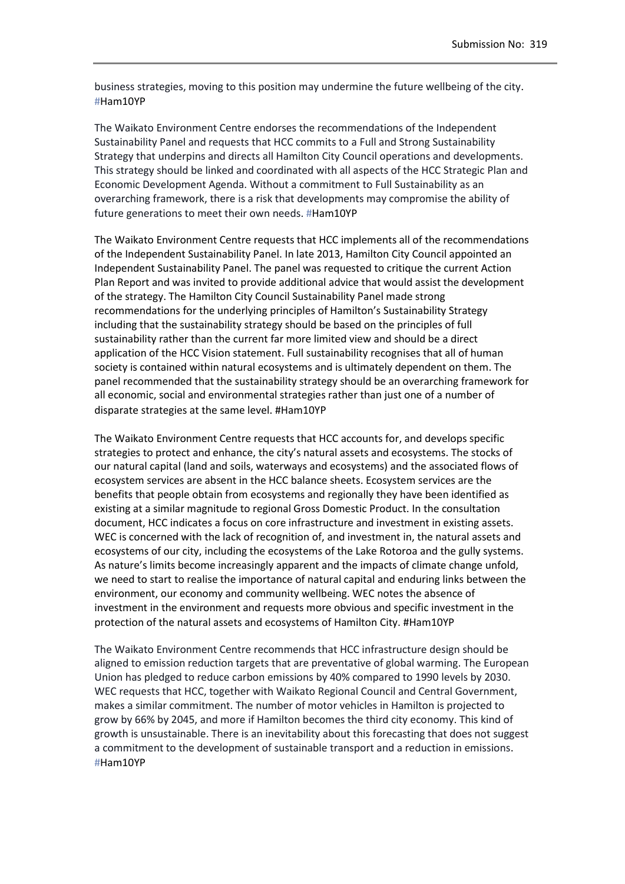business strategies, moving to this position may undermine the future wellbeing of the city. #[Ham10YP](https://www.facebook.com/hashtag/ham10yp?source=feed_text&story_id=825701384150648)

The Waikato Environment Centre endorses the recommendations of the Independent Sustainability Panel and requests that HCC commits to a Full and Strong Sustainability Strategy that underpins and directs all Hamilton City Council operations and developments. This strategy should be linked and coordinated with all aspects of the HCC Strategic Plan and Economic Development Agenda. Without a commitment to Full Sustainability as an overarching framework, there is a risk that developments may compromise the ability of future generations to meet their own needs. #Ham10YP

The Waikato Environment Centre requests that HCC implements all of the recommendations of the Independent Sustainability Panel. In late 2013, Hamilton City Council appointed an Independent Sustainability Panel. The panel was requested to critique the current Action Plan Report and was invited to provide additional advice that would assist the development of the strategy. The Hamilton City Council Sustainability Panel made strong recommendations for the underlying principles of Hamilton's Sustainability Strategy including that the sustainability strategy should be based on the principles of full sustainability rather than the current far more limited view and should be a direct application of the HCC Vision statement. Full sustainability recognises that all of human society is contained within natural ecosystems and is ultimately dependent on them. The panel recommended that the sustainability strategy should be an overarching framework for all economic, social and environmental strategies rather than just one of a number of disparate strategies at the same level. #Ham10YP

The Waikato Environment Centre requests that HCC accounts for, and develops specific strategies to protect and enhance, the city's natural assets and ecosystems. The stocks of our natural capital (land and soils, waterways and ecosystems) and the associated flows of ecosystem services are absent in the HCC balance sheets. Ecosystem services are the benefits that people obtain from ecosystems and regionally they have been identified as existing at a similar magnitude to regional Gross Domestic Product. In the consultation document, HCC indicates a focus on core infrastructure and investment in existing assets. WEC is concerned with the lack of recognition of, and investment in, the natural assets and ecosystems of our city, including the ecosystems of the Lake Rotoroa and the gully systems. As nature's limits become increasingly apparent and the impacts of climate change unfold, we need to start to realise the importance of natural capital and enduring links between the environment, our economy and community wellbeing. WEC notes the absence of investment in the environment and requests more obvious and specific investment in the protection of the natural assets and ecosystems of Hamilton City. #Ham10YP

The Waikato Environment Centre recommends that HCC infrastructure design should be aligned to emission reduction targets that are preventative of global warming. The European Union has pledged to reduce carbon emissions by 40% compared to 1990 levels by 2030. WEC requests that HCC, together with Waikato Regional Council and Central Government, makes a similar commitment. The number of motor vehicles in Hamilton is projected to grow by 66% by 2045, and more if Hamilton becomes the third city economy. This kind of growth is unsustainable. There is an inevitability about this forecasting that does not suggest a commitment to the development of sustainable transport and a reduction in emissions. #Ham10YP